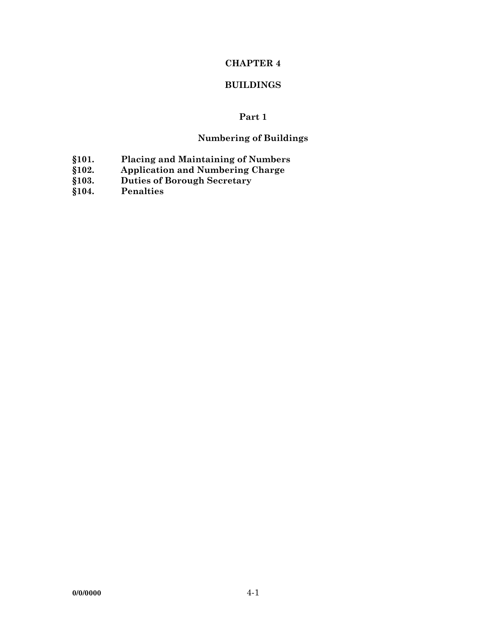## **CHAPTER 4**

### **BUILDINGS**

# **Part 1**

## **Numbering of Buildings**

- **§101. Placing and Maintaining of Numbers**
- **§102. Application and Numbering Charge**
- **§103. Duties of Borough Secretary**
- **§104. Penalties**